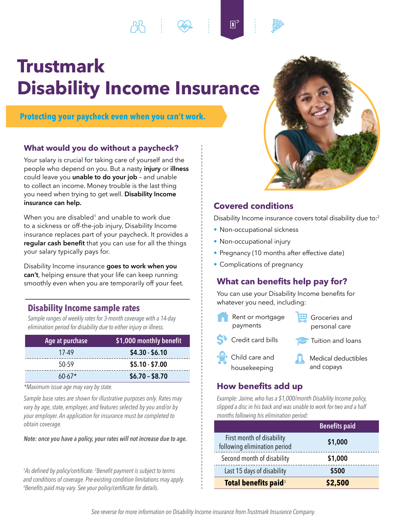# **Trustmark Disability Income Insurance**

**Protecting your paycheck even when you can't work.** 

## **What would you do without a paycheck?**

Your salary is crucial for taking care of yourself and the people who depend on you. But a nasty **injury** or **illness**  could leave you **unable to do your job** – and unable to collect an income. Money trouble is the last thing you need when trying to get well. **Disability Income insurance can help.** 

When you are disabled<sup>1</sup> and unable to work due to a sickness or off-the-job injury, Disability Income insurance replaces part of your paycheck. It provides a **regular cash benefit** that you can use for all the things your salary typically pays for.

Disability Income insurance **goes to work when you can't**, helping ensure that your life can keep running smoothly even when you are temporarily off your feet.

## **Disability Income sample rates**

*Sample ranges of weekly rates for 3-month coverage with a 14-day elimination period for disability due to either injury or illness.* 

| Age at purchase | \$1,000 monthly benefit |
|-----------------|-------------------------|
| 17-49           | $$4.30 - $6.10$         |
| 50-59           | $$5.10 - $7.00$         |
| $60-67*$        | $$6.70 - $8.70$         |

*\*Maximum issue age may vary by state.* 

*Sample base rates are shown for illustrative purposes only. Rates may vary by age, state, employer, and features selected by you and/or by your employer. An application for insurance must be completed to obtain coverage.* 

*Note: once you have a policy, your rates will not increase due to age.* 

 <sup>1</sup>As defined by policy/certificate. <sup>2</sup> Benefit payment is subject to terms *and conditions of coverage. Pre-existing condition limitations may apply. 3 Benefits paid may vary. See your policy/certificate for details.* 



# **Covered conditions**

 $5^{\circ}$ 

Disability Income insurance covers total disability due to:<sup>2</sup>

- Non-occupational sickness
- Non-occupational injury
- Pregnancy (10 months after effective date)
- Complications of pregnancy

# **What can benefits help pay for?**

You can use your Disability Income benefits for whatever you need, including:

| Rent or mortgage                 | Groceries and       |
|----------------------------------|---------------------|
| payments                         | personal care       |
| S <sup>3</sup> Credit card bills | Tuition and loans   |
| Child care and                   | Medical deductibles |
| housekeeping                     | and copays          |

## **How benefits add up**

*Example: Jaime, who has a \$1,000/month Disability Income policy, slipped a disc in his back and was unable to work for two and a half months following his elimination period:* 

|                                                           | <b>Benefits paid</b> |
|-----------------------------------------------------------|----------------------|
| First month of disability<br>following elimination period | \$1,000              |
| Second month of disability                                | \$1,000              |
| Last 15 days of disability                                | \$500                |
| Total benefits paid <sup>3</sup>                          | \$2,500              |